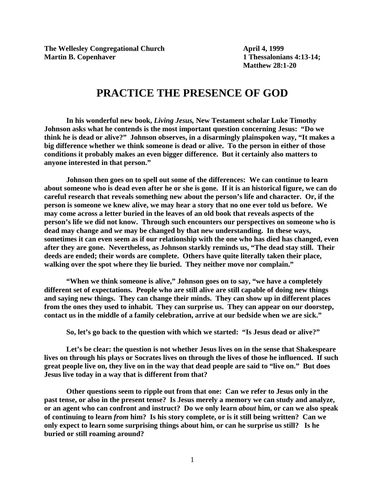**The Wellesley Congregational Church April 4, 1999 Martin B. Copenhaver** 1 Thessalonians 4:13-14;

**Matthew 28:1-20**

## **PRACTICE THE PRESENCE OF GOD**

**In his wonderful new book,** *Living Jesus,* **New Testament scholar Luke Timothy Johnson asks what he contends is the most important question concerning Jesus: "Do we think he is dead or alive?" Johnson observes, in a disarmingly plainspoken way, "It makes a big difference whether we think someone is dead or alive. To the person in either of those conditions it probably makes an even bigger difference. But it certainly also matters to anyone interested in that person."**

**Johnson then goes on to spell out some of the differences: We can continue to learn about someone who is dead even after he or she is gone. If it is an historical figure, we can do careful research that reveals something new about the person's life and character. Or, if the person is someone we knew alive, we may hear a story that no one ever told us before. We may come across a letter buried in the leaves of an old book that reveals aspects of the person's life we did not know. Through such encounters our perspectives on someone who is dead may change and** *we* **may be changed by that new understanding. In these ways, sometimes it can even seem as if our relationship with the one who has died has changed, even after they are gone. Nevertheless, as Johnson starkly reminds us, "The dead stay still. Their deeds are ended; their words are complete. Others have quite literally taken their place, walking over the spot where they lie buried. They neither move nor complain."**

**"When we think someone is alive," Johnson goes on to say, "we have a completely different set of expectations. People who are still alive are still capable of doing new things and saying new things. They can change their minds. They can show up in different places from the ones they used to inhabit. They can surprise us. They can appear on our doorstep, contact us in the middle of a family celebration, arrive at our bedside when we are sick."**

**So, let's go back to the question with which we started: "Is Jesus dead or alive?"**

**Let's be clear: the question is not whether Jesus lives on in the sense that Shakespeare lives on through his plays or Socrates lives on through the lives of those he influenced. If such great people live on, they live on in the way that dead people are said to "live on." But does Jesus live today in a way that is different from that?**

**Other questions seem to ripple out from that one: Can we refer to Jesus only in the past tense, or also in the present tense? Is Jesus merely a memory we can study and analyze, or an agent who can confront and instruct? Do we only learn** *about* **him, or can we also speak of continuing to learn** *from* **him? Is his story complete, or is it still being written? Can we only expect to learn some surprising things about him, or can he surprise us still? Is he buried or still roaming around?**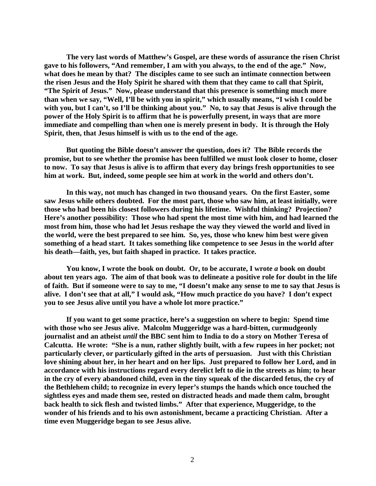**The very last words of Matthew's Gospel, are these words of assurance the risen Christ gave to his followers, "And remember, I am with you always, to the end of the age." Now, what does he mean by that? The disciples came to see such an intimate connection between the risen Jesus and the Holy Spirit he shared with them that they came to call that Spirit, "The Spirit of Jesus." Now, please understand that this presence is something much more than when we say, "Well, I'll be with you in spirit," which usually means, "I wish I could be with you, but I can't, so I'll be thinking about you." No, to say that Jesus is alive through the power of the Holy Spirit is to affirm that he is powerfully present, in ways that are more immediate and compelling than when one is merely present in body. It is through the Holy Spirit, then, that Jesus himself is with us to the end of the age.**

**But quoting the Bible doesn't answer the question, does it? The Bible records the promise, but to see whether the promise has been fulfilled we must look closer to home, closer to now. To say that Jesus is alive is to affirm that every day brings fresh opportunities to see him at work. But, indeed, some people see him at work in the world and others don't.**

**In this way, not much has changed in two thousand years. On the first Easter, some saw Jesus while others doubted. For the most part, those who saw him, at least initially, were those who had been his closest followers during his lifetime. Wishful thinking? Projection? Here's another possibility: Those who had spent the most time with him, and had learned the most from him, those who had let Jesus reshape the way they viewed the world and lived in the world, were the best prepared to see him. So, yes, those who knew him best were given something of a head start. It takes something like competence to see Jesus in the world after his death—faith, yes, but faith shaped in practice. It takes practice.** 

**You know, I wrote the book on doubt. Or, to be accurate, I wrote** *a* **book on doubt about ten years ago. The aim of that book was to delineate a positive role for doubt in the life of faith. But if someone were to say to me, "I doesn't make any sense to me to say that Jesus is alive. I don't see that at all," I would ask, "How much practice do you have? I don't expect you to see Jesus alive until you have a whole lot more practice."** 

**If you want to get some practice, here's a suggestion on where to begin: Spend time with those who see Jesus alive. Malcolm Muggeridge was a hard-bitten, curmudgeonly journalist and an atheist** *until* **the BBC sent him to India to do a story on Mother Teresa of Calcutta. He wrote: "She is a nun, rather slightly built, with a few rupees in her pocket; not particularly clever, or particularly gifted in the arts of persuasion. Just with this Christian love shining about her, in her heart and on her lips. Just prepared to follow her Lord, and in accordance with his instructions regard every derelict left to die in the streets as him; to hear in the cry of every abandoned child, even in the tiny squeak of the discarded fetus, the cry of the Bethlehem child; to recognize in every leper's stumps the hands which once touched the sightless eyes and made them see, rested on distracted heads and made them calm, brought back health to sick flesh and twisted limbs." After that experience, Muggeridge, to the wonder of his friends and to his own astonishment, became a practicing Christian. After a time even Muggeridge began to see Jesus alive.**